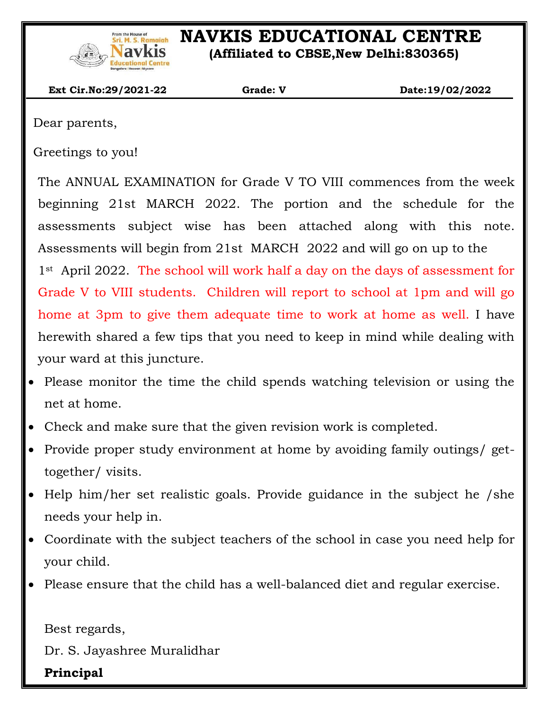

# **IS Remain NAVKIS EDUCATIONAL CENTRE**

 **(Affiliated to CBSE,New Delhi:830365)**

 **Ext Cir.No:29/2021-22 Grade: V Date:19/02/2022**

Dear parents,

 $\overline{\phantom{a}}$ 

Greetings to you!

The ANNUAL EXAMINATION for Grade V TO VIII commences from the week beginning 21st MARCH 2022. The portion and the schedule for the assessments subject wise has been attached along with this note. Assessments will begin from 21st MARCH 2022 and will go on up to the 1<sup>st</sup> April 2022. The school will work half a day on the days of assessment for Grade V to VIII students. Children will report to school at 1pm and will go home at 3pm to give them adequate time to work at home as well. I have herewith shared a few tips that you need to keep in mind while dealing with your ward at this juncture.

- Please monitor the time the child spends watching television or using the net at home.
- Check and make sure that the given revision work is completed.
- Provide proper study environment at home by avoiding family outings/ gettogether/ visits.
- Help him/her set realistic goals. Provide guidance in the subject he /she needs your help in.
- Coordinate with the subject teachers of the school in case you need help for your child.
- Please ensure that the child has a well-balanced diet and regular exercise.

Best regards,

Dr. S. Jayashree Muralidhar

**Principal**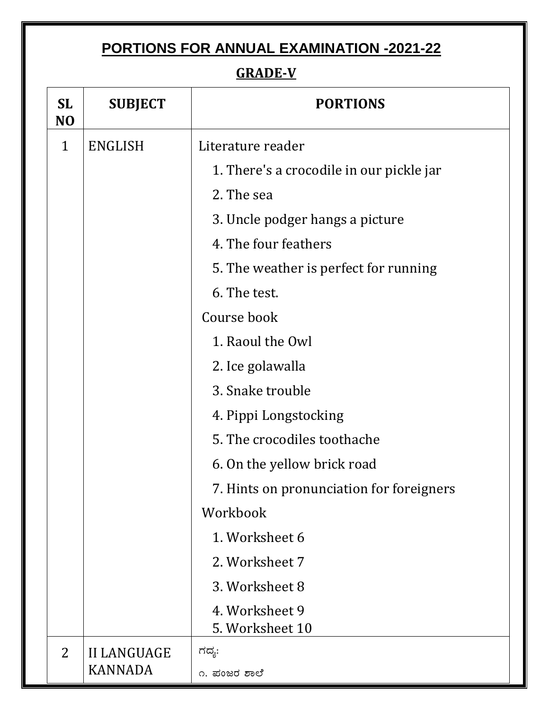# **PORTIONS FOR ANNUAL EXAMINATION -2021-22**

### **GRADE-V**

| <b>SL</b><br>N <sub>O</sub> | <b>SUBJECT</b>                    | <b>PORTIONS</b>                          |  |
|-----------------------------|-----------------------------------|------------------------------------------|--|
| $\mathbf{1}$                | <b>ENGLISH</b>                    | Literature reader                        |  |
|                             |                                   | 1. There's a crocodile in our pickle jar |  |
|                             |                                   | 2. The sea                               |  |
|                             |                                   | 3. Uncle podger hangs a picture          |  |
|                             |                                   | 4. The four feathers                     |  |
|                             |                                   | 5. The weather is perfect for running    |  |
|                             |                                   | 6. The test.                             |  |
|                             |                                   | Course book                              |  |
|                             |                                   | 1. Raoul the Owl                         |  |
|                             |                                   | 2. Ice golawalla                         |  |
|                             |                                   | 3. Snake trouble                         |  |
|                             |                                   | 4. Pippi Longstocking                    |  |
|                             |                                   | 5. The crocodiles toothache              |  |
|                             |                                   | 6. On the yellow brick road              |  |
|                             |                                   | 7. Hints on pronunciation for foreigners |  |
|                             |                                   | Workbook                                 |  |
|                             |                                   | 1. Worksheet 6                           |  |
|                             |                                   | 2. Worksheet 7                           |  |
|                             |                                   | 3. Worksheet 8                           |  |
|                             | 4. Worksheet 9<br>5. Worksheet 10 |                                          |  |
| $\overline{2}$              | <b>II LANGUAGE</b>                | ಗದ್ಯ:                                    |  |
|                             | KANNADA                           | ೧. ಪಂಜರ ಶಾಲೆ                             |  |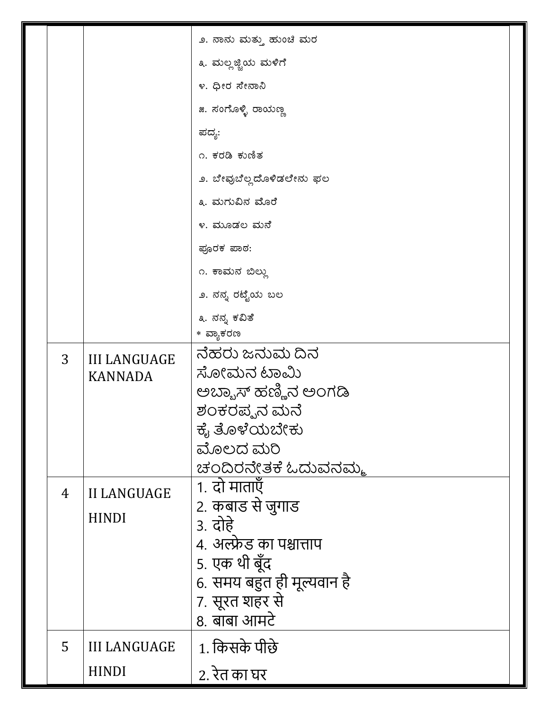|  |   |                                       | ೨. ನಾನು ಮತ್ತು ಹುಂಚಿ ಮರ     |
|--|---|---------------------------------------|----------------------------|
|  |   |                                       | ೩. ಮಲ್ಲಜ್ಜಿಯ ಮಳಿಗೆ         |
|  |   |                                       | ೪. ಧೀರ ಸೇನಾನಿ              |
|  |   |                                       | ೫. ಸಂಗೊಳ್ಳಿ ರಾಯಣ್ಣ         |
|  |   |                                       | ಪದ್ಯ:                      |
|  |   |                                       | ೧. ಕರಡಿ ಕುಣಿತ              |
|  |   |                                       | ೨. ಬೇವುಬೆಲ್ಲದೊಳಿಡಲೇನು ಫಲ   |
|  |   |                                       | ೩. ಮಗುವಿನ ಮೊರೆ             |
|  |   |                                       | ೪. ಮೂಡಲ ಮನೆ                |
|  |   |                                       | ಪೂರಕ ಪಾಠ:                  |
|  |   |                                       | ೧. ಕಾಮನ ಬಿಲ್ಲು             |
|  |   |                                       | ೨. ನನ್ನ ರಟ್ಟೆಯ ಬಲ          |
|  |   |                                       | ೩. ನನ್ನ ಕವಿತೆ              |
|  |   |                                       | * ವ್ಯಾಕರಣ                  |
|  | 3 | <b>III LANGUAGE</b><br><b>KANNADA</b> | ನೆಹರು ಜನುಮ ದಿನ             |
|  |   |                                       | ಸೋಮನ ಟಾಮಿ                  |
|  |   |                                       | ಅಬ್ಬಾಸ್ ಹಣ್ಣಿನ ಅಂಗಡಿ       |
|  |   |                                       | ಶಂಕರಪ್ಪನ ಮನೆ               |
|  |   |                                       | ಕೈ ತೊಳೆಯಬೇಕು               |
|  |   |                                       | ಮೊಲದ ಮರಿ                   |
|  |   |                                       | ಚಂದಿರನೇತಕೆ ಓದುವನಮ್ಮ        |
|  | 4 | <b>II LANGUAGE</b><br><b>HINDI</b>    | 1. दो माताएँ               |
|  |   |                                       | 2. कबाड से जुगाड           |
|  |   |                                       | 3. दोहे                    |
|  |   |                                       | 4. अल्फ्रेड का पश्चात्ताप  |
|  |   |                                       | 5. एक थी बूँद              |
|  |   |                                       | 6. समय बहुत ही मूल्यवान है |
|  |   |                                       | 7. सूरत शहर से             |
|  |   |                                       | 8. बाबा आमटे               |
|  | 5 | <b>III LANGUAGE</b>                   | 1. किसके पीछे              |
|  |   | <b>HINDI</b>                          | 2. रेत का घर               |
|  |   |                                       |                            |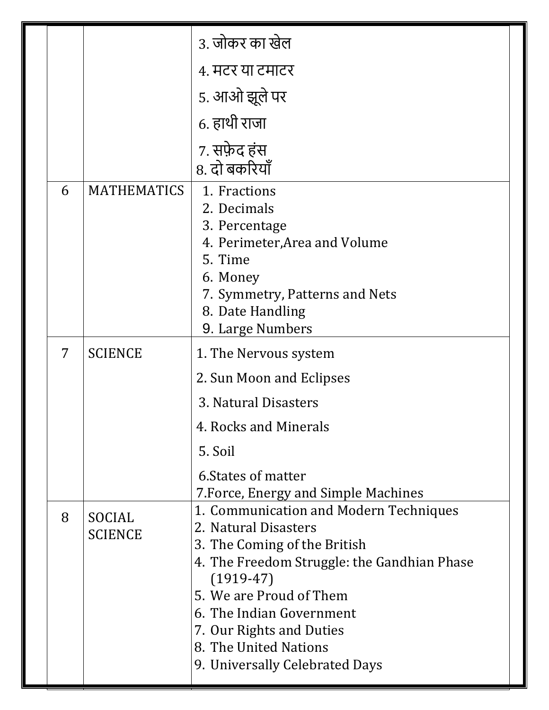|   |                          | 3. जोकर का खेल                                                                                                                                                                                                                                                                              |  |
|---|--------------------------|---------------------------------------------------------------------------------------------------------------------------------------------------------------------------------------------------------------------------------------------------------------------------------------------|--|
|   |                          | ४. मटर या टमाटर                                                                                                                                                                                                                                                                             |  |
|   |                          | 5. आओ झूले पर                                                                                                                                                                                                                                                                               |  |
|   |                          | 6. हाथी राजा                                                                                                                                                                                                                                                                                |  |
|   |                          | 7. सफ़ेद हंस<br>8. दो बकरियाँ                                                                                                                                                                                                                                                               |  |
| 6 | <b>MATHEMATICS</b>       | 1. Fractions<br>2. Decimals<br>3. Percentage<br>4. Perimeter, Area and Volume<br>5. Time<br>6. Money<br>7. Symmetry, Patterns and Nets<br>8. Date Handling<br>9. Large Numbers                                                                                                              |  |
| 7 | <b>SCIENCE</b>           | 1. The Nervous system<br>2. Sun Moon and Eclipses<br>3. Natural Disasters<br>4. Rocks and Minerals                                                                                                                                                                                          |  |
|   |                          | 5. Soil<br>6. States of matter<br>7. Force, Energy and Simple Machines<br>$(1919-47)$                                                                                                                                                                                                       |  |
| 8 | SOCIAL<br><b>SCIENCE</b> | 1. Communication and Modern Techniques<br>2. Natural Disasters<br>3. The Coming of the British<br>4. The Freedom Struggle: the Gandhian Phase<br>5. We are Proud of Them<br>6. The Indian Government<br>7. Our Rights and Duties<br>8. The United Nations<br>9. Universally Celebrated Days |  |
|   |                          |                                                                                                                                                                                                                                                                                             |  |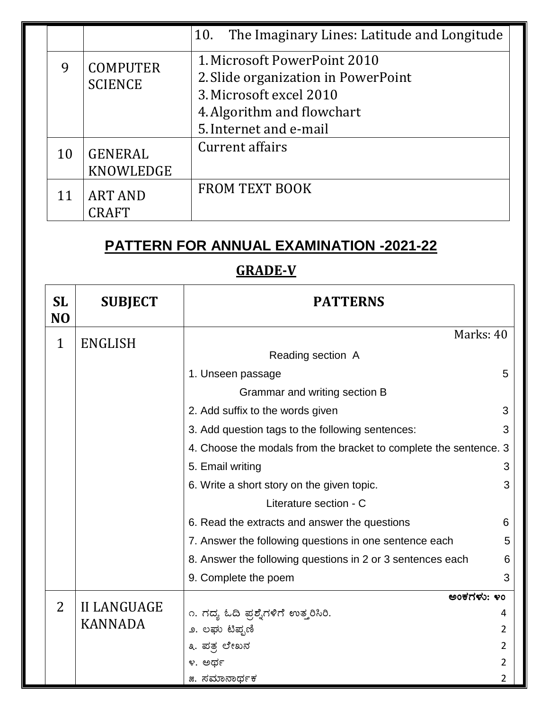|    |                 | 10. The Imaginary Lines: Latitude and Longitude |  |
|----|-----------------|-------------------------------------------------|--|
| 9  | <b>COMPUTER</b> | 1. Microsoft PowerPoint 2010                    |  |
|    | <b>SCIENCE</b>  | 2. Slide organization in PowerPoint             |  |
|    |                 | 3. Microsoft excel 2010                         |  |
|    |                 | 4. Algorithm and flowchart                      |  |
|    |                 | 5. Internet and e-mail                          |  |
| 10 | <b>GENERAL</b>  | Current affairs                                 |  |
|    | KNOWLEDGE       |                                                 |  |
| 11 | <b>ART AND</b>  | <b>FROM TEXT BOOK</b>                           |  |
|    | CRAFT           |                                                 |  |
|    |                 |                                                 |  |

# **PATTERN FOR ANNUAL EXAMINATION -2021-22**

 $\overline{\phantom{a}}$ 

### **GRADE-V**

| <b>SL</b><br>N <sub>O</sub> | <b>SUBJECT</b>     | <b>PATTERNS</b>                                                   |   |
|-----------------------------|--------------------|-------------------------------------------------------------------|---|
| 1                           | <b>ENGLISH</b>     | Marks: 40                                                         |   |
|                             |                    | Reading section A                                                 |   |
|                             |                    | 1. Unseen passage                                                 | 5 |
|                             |                    | Grammar and writing section B                                     |   |
|                             |                    | 2. Add suffix to the words given                                  | 3 |
|                             |                    | 3. Add question tags to the following sentences:                  | 3 |
|                             |                    | 4. Choose the modals from the bracket to complete the sentence. 3 |   |
|                             |                    | 5. Email writing                                                  | 3 |
|                             |                    | 6. Write a short story on the given topic.                        | 3 |
|                             |                    | Literature section - C                                            |   |
|                             |                    | 6. Read the extracts and answer the questions                     | 6 |
|                             |                    | 7. Answer the following questions in one sentence each            | 5 |
|                             |                    | 8. Answer the following questions in 2 or 3 sentences each        | 6 |
|                             |                    | 9. Complete the poem                                              | 3 |
|                             |                    | ಅಂಕಗಳು: ೪೦                                                        |   |
| $\overline{2}$              | <b>II LANGUAGE</b> | ೧. ಗದ್ಯ ಓದಿ ಪ್ರಶ್ನೆಗಳಿಗೆ ಉತ್ತರಿಸಿರಿ.                              |   |
|                             | <b>KANNADA</b>     | ೨. ಲಘು ಟಿಪ್ಪಣಿ                                                    | 2 |
|                             |                    | ೩. ಪತ್ರ ಲೇಖನ                                                      | 2 |
|                             |                    | ೪. ಅರ್ಥ                                                           | 2 |
|                             |                    | ೫. ಸಮಾನಾರ್ಥಕ                                                      | 2 |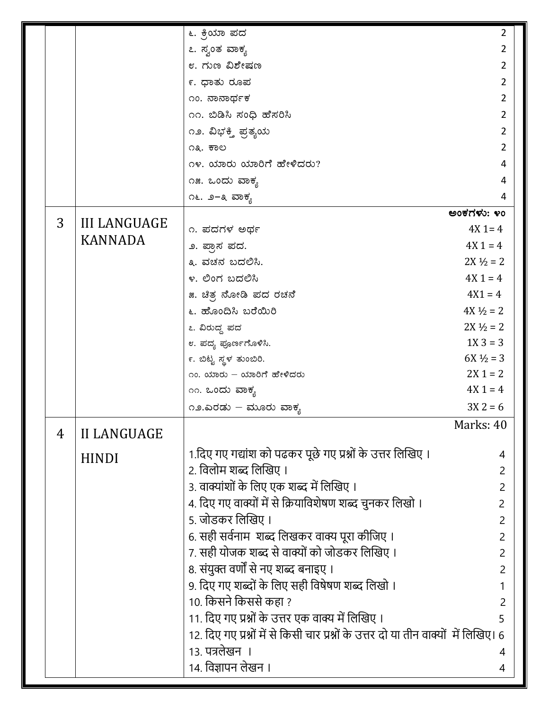|   |                     | ೬. ಕ್ರಿಯಾ ಪದ                                                                          | 2                    |
|---|---------------------|---------------------------------------------------------------------------------------|----------------------|
|   |                     | ೭. ಸ್ವಂತ ವಾಕ್ಯ                                                                        | 2                    |
|   |                     | ೮. ಗುಣ ವಿಶೇಷಣ                                                                         | 2                    |
|   |                     | ೯. ಧಾತು ರೂಪ                                                                           |                      |
|   |                     | ೧೦. ನಾನಾರ್ಥಕ                                                                          | 2                    |
|   |                     | ೧೧. ಬಿಡಿಸಿ ಸಂಧಿ ಹೆಸರಿಸಿ                                                               | 2                    |
|   |                     | ೧೨. ವಿಭಕ್ತಿ ಪ್ರತ್ಯಯ                                                                   | 2                    |
|   |                     | ೧೩. ಕಾಲ                                                                               | 2                    |
|   |                     | ೧೪. ಯಾರು ಯಾರಿಗೆ ಹೇಳಿದರು?                                                              | 4                    |
|   |                     | ೧೫. ಒಂದು ವಾಕ್ಯ                                                                        | 4                    |
|   |                     | ೧೬. ೨−೩ ವಾಕ್ಯ                                                                         | 4                    |
|   |                     |                                                                                       | ಅಂಕಗಳು: ೪೦           |
| 3 | <b>III LANGUAGE</b> | ೧. ಪದಗಳ ಅರ್ಥ                                                                          | $4X$ 1 = 4           |
|   | <b>KANNADA</b>      | ೨. ಪ್ರಾಸ ಪದ.                                                                          | $4X1 = 4$            |
|   |                     | ೩. ವಚನ ಬದಲಿಸಿ.                                                                        | $2X \frac{1}{2} = 2$ |
|   |                     | ೪. ಲಿಂಗ ಬದಲಿಸಿ                                                                        | $4X1 = 4$            |
|   |                     | ೫. ಚಿತ್ರ ನೋಡಿ ಪದ ರಚನೆ                                                                 | $4X1 = 4$            |
|   |                     | ೬. ಹೊಂದಿಸಿ ಬರೆಯಿರಿ                                                                    | $4X\frac{1}{2} = 2$  |
|   |                     | ೭. ವಿರುದ್ಧ ಪದ                                                                         | $2X \frac{1}{2} = 2$ |
|   |                     | ೮. ಪದ್ಯ ಪೂರ್ಣಗೊಳಿಸಿ.                                                                  | $1X_3 = 3$           |
|   |                     | ೯. ಬಿಟ್ಟ ಸ್ಥಳ ತುಂಬಿರಿ.                                                                | $6X\frac{1}{2} = 3$  |
|   |                     | ೧೦. ಯಾರು – ಯಾರಿಗೆ ಹೇಳಿದರು                                                             | $2X 1 = 2$           |
|   |                     | ೧೧. ಒಂದು ವಾಕ್ಯ                                                                        | $4X1 = 4$            |
|   |                     | ೧೨.ಎರಡು – ಮೂರು ವಾಕ್ಯ                                                                  | $3X 2 = 6$           |
| 4 | <b>II LANGUAGE</b>  |                                                                                       | Marks: 40            |
|   | <b>HINDI</b>        | 1.दिए गए गद्यांश को पढकर पूछे गए प्रश्नों के उत्तर लिखिए ।                            | 4                    |
|   |                     | 2. विलोम शब्द लिखिए ।                                                                 | 2                    |
|   |                     | 3. वाक्यांशों के लिए एक शब्द में लिखिए ।                                              |                      |
|   |                     | 4. दिए गए वाक्यों में से क्रियाविशेषण शब्द चुनकर लिखो ।                               | 2                    |
|   |                     | 5. जोडकर लिखिए ।                                                                      | 2                    |
|   |                     | 6. सही सर्वनाम  शब्द लिखकर वाक्य पूरा कीजिए ।                                         | 2                    |
|   |                     | 7. सही योजक शब्द से वाक्यों को जोडकर लिखिए ।                                          | 2                    |
|   |                     | 8. संयुक्त वर्णों से नए शब्द बनाइए ।                                                  | 2                    |
|   |                     | 9. दिए गए शब्दों के लिए सही विषेषण शब्द लिखो ।                                        |                      |
|   |                     | 10. किसने किससे कहा ?                                                                 | 2                    |
|   |                     | 11. दिए गए प्रश्नों के उत्तर एक वाक्य में लिखिए ।                                     | 5                    |
|   |                     | 12. दिए गए प्रश्नों में से किसी चार प्रश्नों के उत्तर दो या तीन वाक्यों  में लिखिए। 6 |                      |
|   |                     | 13. पत्रलेखन ।                                                                        | 4                    |
|   |                     | 14. विज्ञापन लेखन ।                                                                   | 4                    |
|   |                     |                                                                                       |                      |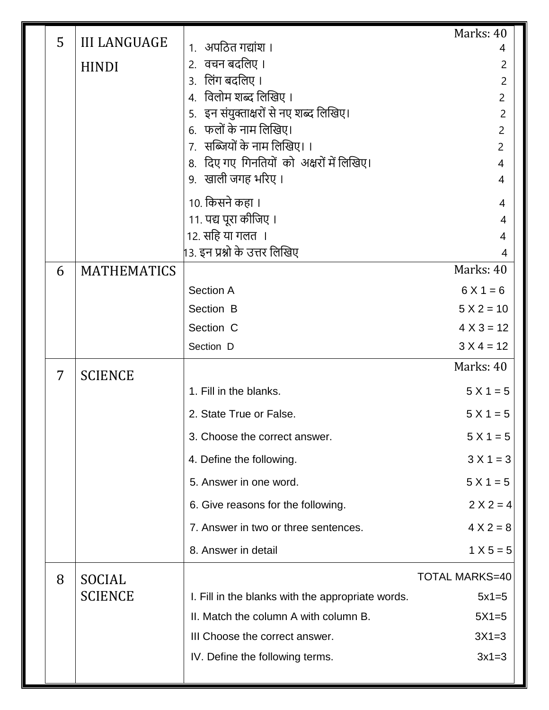|   |                     |                                                                   | Marks: 40                        |
|---|---------------------|-------------------------------------------------------------------|----------------------------------|
| 5 | <b>III LANGUAGE</b> | १. अपठित गद्यांश ।                                                | 4                                |
|   | <b>HINDI</b>        | 2. वचन बदलिए ।                                                    | 2                                |
|   |                     | 3. लिंग बदलिए ।                                                   | $\overline{2}$                   |
|   |                     | 4. विलोम शब्द लिखिए ।                                             | $\overline{2}$                   |
|   |                     | 5.   इन संयुक्ताक्षरों से नए शब्द लिखिए।<br>6. फलों के नाम लिखिए। | $\overline{2}$<br>$\overline{2}$ |
|   |                     | 7. सब्जियों के नाम लिखिए। ।                                       | $\overline{2}$                   |
|   |                     | 8. दिए गए गिनतियों को अक्षरों में लिखिए।                          | $\overline{4}$                   |
|   |                     | 9. खाली जगह भरिए।                                                 | $\overline{4}$                   |
|   |                     | 10. किसने कहा ।                                                   | 4                                |
|   |                     | 11. पद्य पूरा कीजिए ।                                             | 4                                |
|   |                     | 12. सहि या गलत ।                                                  | 4                                |
|   |                     | 13. इन प्रश्नो के उत्तर लिखिए                                     | 4<br>Marks: 40                   |
| 6 | <b>MATHEMATICS</b>  |                                                                   |                                  |
|   |                     | Section A                                                         | $6X1 = 6$                        |
|   |                     | Section B                                                         | $5 X 2 = 10$                     |
|   |                     | Section C                                                         | $4 X 3 = 12$                     |
|   |                     | Section D                                                         | $3 X 4 = 12$                     |
| 7 | <b>SCIENCE</b>      |                                                                   | Marks: 40                        |
|   |                     | 1. Fill in the blanks.                                            | $5 X 1 = 5$                      |
|   |                     | 2. State True or False.                                           | $5 X 1 = 5$                      |
|   |                     | 3. Choose the correct answer.                                     | $5 X 1 = 5$                      |
|   |                     | 4. Define the following.                                          | $3 X 1 = 3$                      |
|   |                     | 5. Answer in one word.                                            | $5 X 1 = 5$                      |
|   |                     | 6. Give reasons for the following.                                | $2 X 2 = 4$                      |
|   |                     | 7. Answer in two or three sentences.                              | $4 X 2 = 8$                      |
|   |                     | 8. Answer in detail                                               | $1 X 5 = 5$                      |
| 8 | SOCIAL              |                                                                   | <b>TOTAL MARKS=40</b>            |
|   | <b>SCIENCE</b>      | I. Fill in the blanks with the appropriate words.                 | $5x1=5$                          |
|   |                     | II. Match the column A with column B.                             | $5X1=5$                          |
|   |                     | III Choose the correct answer.                                    | $3X1=3$                          |
|   |                     | IV. Define the following terms.                                   | $3x1=3$                          |
|   |                     |                                                                   |                                  |